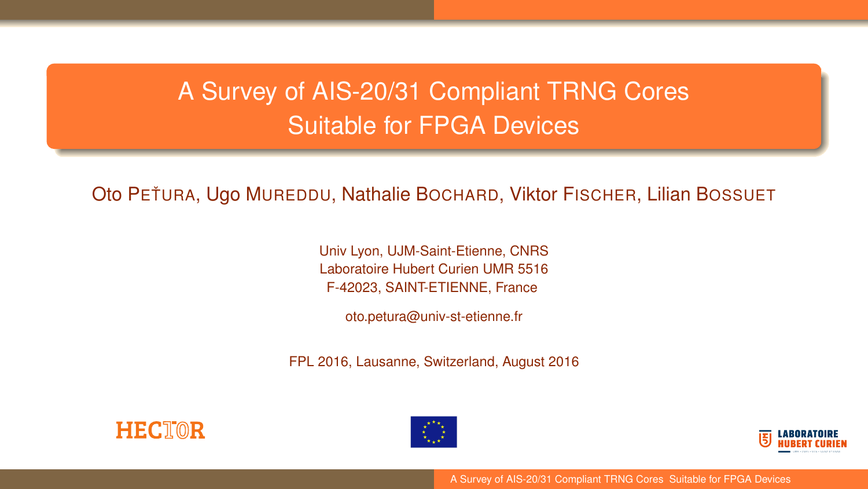# <span id="page-0-0"></span>A Survey of AIS-20/31 Compliant TRNG Cores Suitable for FPGA Devices

Oto PETURA, Ugo MUREDDU, Nathalie BOCHARD, Viktor FISCHER, Lilian BOSSUET

Univ Lyon, UJM-Saint-Etienne, CNRS Laboratoire Hubert Curien UMR 5516 F-42023, SAINT-ETIENNE, France

oto.petura@univ-st-etienne.fr

FPL 2016, Lausanne, Switzerland, August 2016







[A Survey of AIS-20/31 Compliant TRNG Cores Suitable for FPGA Devices](#page-27-0)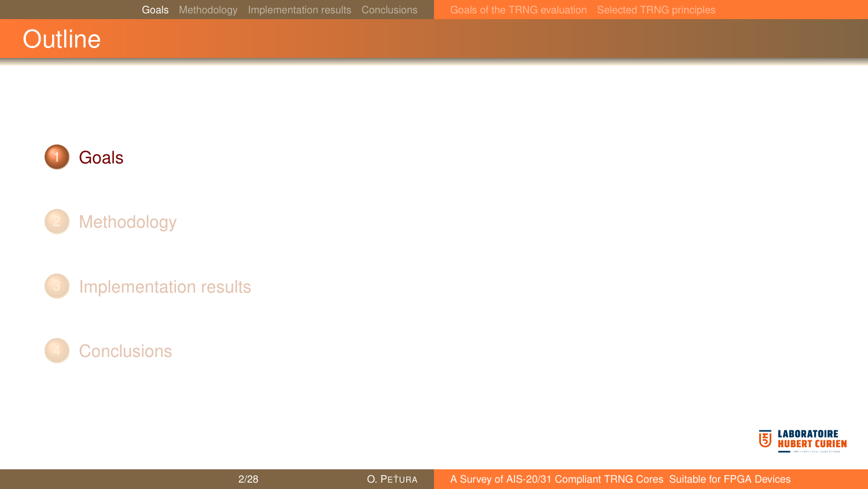<span id="page-1-0"></span>



### [Methodology](#page-4-0)





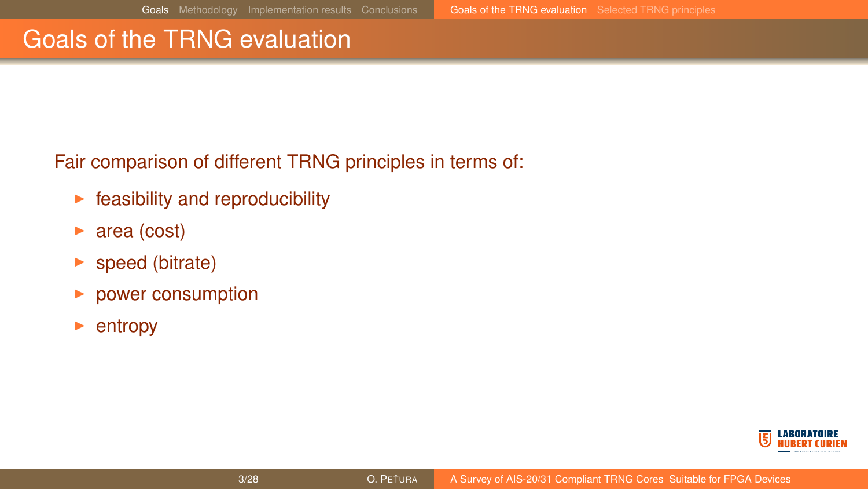### <span id="page-2-0"></span>Goals of the TRNG evaluation

Fair comparison of different TRNG principles in terms of:

- $\blacktriangleright$  feasibility and reproducibility
- $\triangleright$  area (cost)
- $\blacktriangleright$  speed (bitrate)
- $\blacktriangleright$  power consumption
- entropy

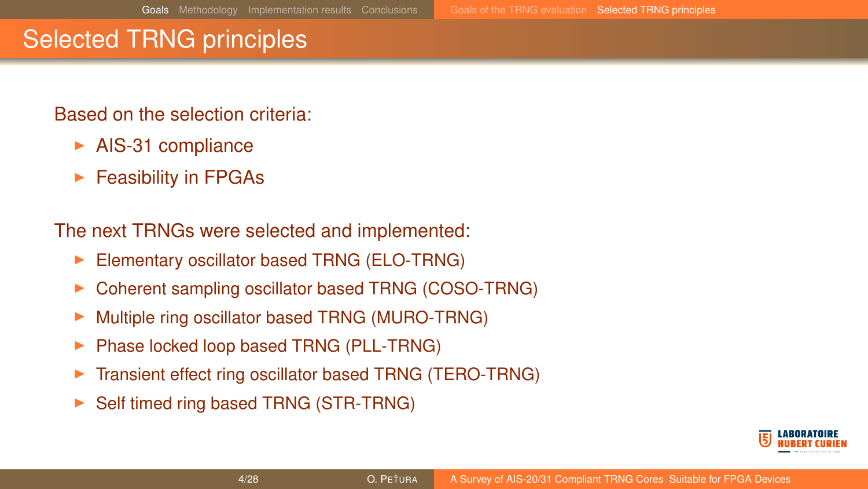### <span id="page-3-0"></span>Selected TRNG principles

### Based on the selection criteria:

- $\blacktriangleright$  AIS-31 compliance
- $\blacktriangleright$  Feasibility in FPGAs

The next TRNGs were selected and implemented:

- Elementary oscillator based TRNG (ELO-TRNG)
- Coherent sampling oscillator based TRNG (COSO-TRNG)
- ▶ Multiple ring oscillator based TRNG (MURO-TRNG)
- Phase locked loop based TRNG (PLL-TRNG)
- Transient effect ring oscillator based TRNG (TERO-TRNG)
- Self timed ring based TRNG (STR-TRNG)

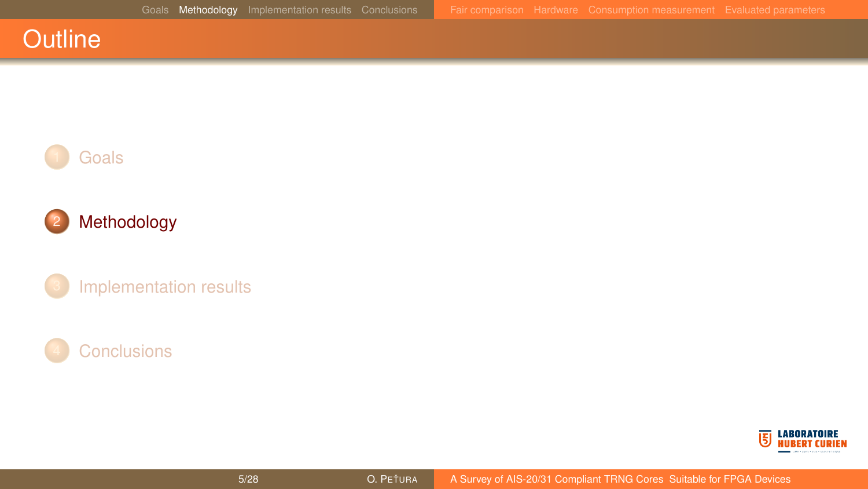### <span id="page-4-0"></span>**Outline**



### 2 [Methodology](#page-4-0)

[Implementation results](#page-10-0)



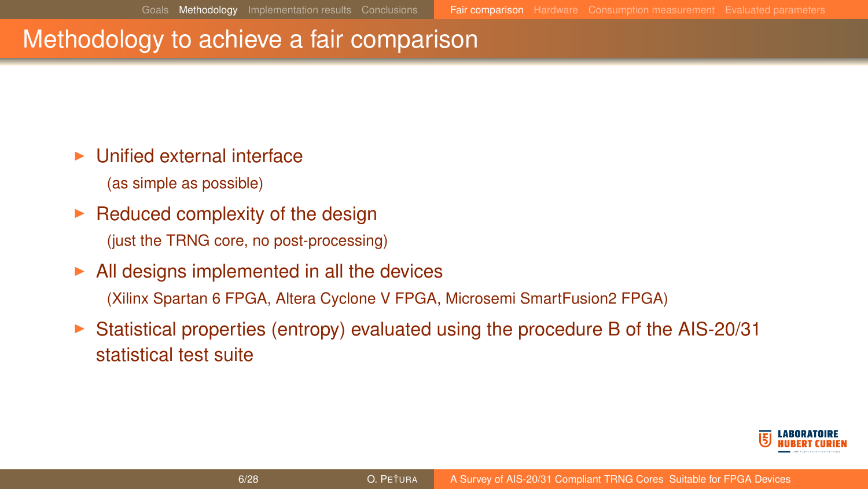### <span id="page-5-0"></span>Methodology to achieve a fair comparison

- $\blacktriangleright$  Unified external interface
	- (as simple as possible)
- $\blacktriangleright$  Reduced complexity of the design (just the TRNG core, no post-processing)
- $\blacktriangleright$  All designs implemented in all the devices (Xilinx Spartan 6 FPGA, Altera Cyclone V FPGA, Microsemi SmartFusion2 FPGA)
- <sup>I</sup> Statistical properties (entropy) evaluated using the procedure B of the AIS-20/31 statistical test suite

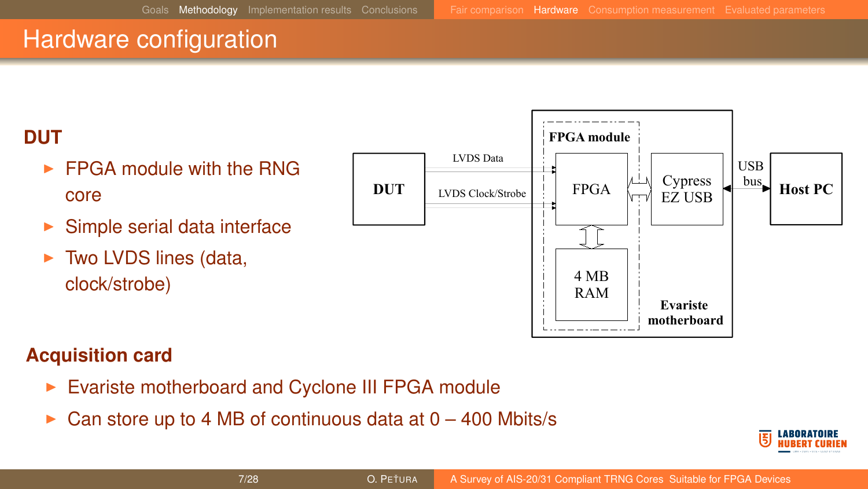### <span id="page-6-0"></span>Hardware configuration

### **DUT**

- $\blacktriangleright$  FPGA module with the RNG core
- $\blacktriangleright$  Simple serial data interface
- $\triangleright$  Two LVDS lines (data, clock/strobe)



### **Acquisition card**

- Evariste motherboard and Cyclone III FPGA module
- Can store up to 4 MB of continuous data at  $0 400$  Mbits/s

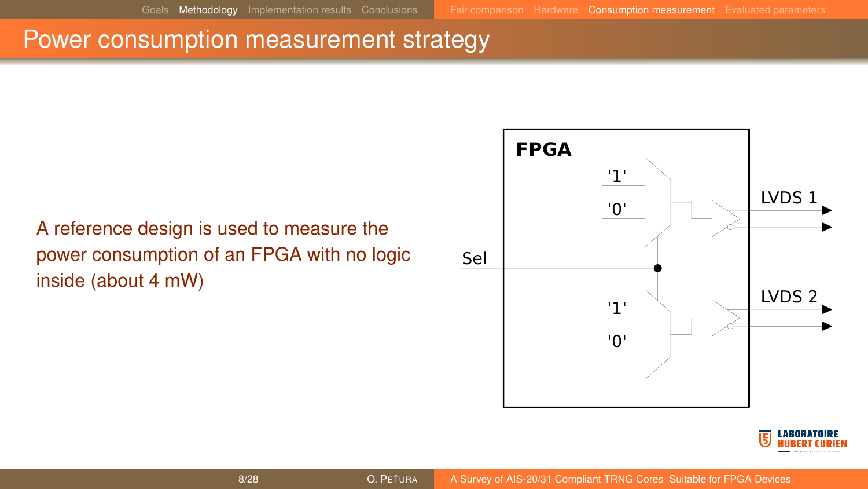### <span id="page-7-0"></span>Power consumption measurement strategy

### A reference design is used to measure the power consumption of an FPGA with no logic inside (about 4 mW)



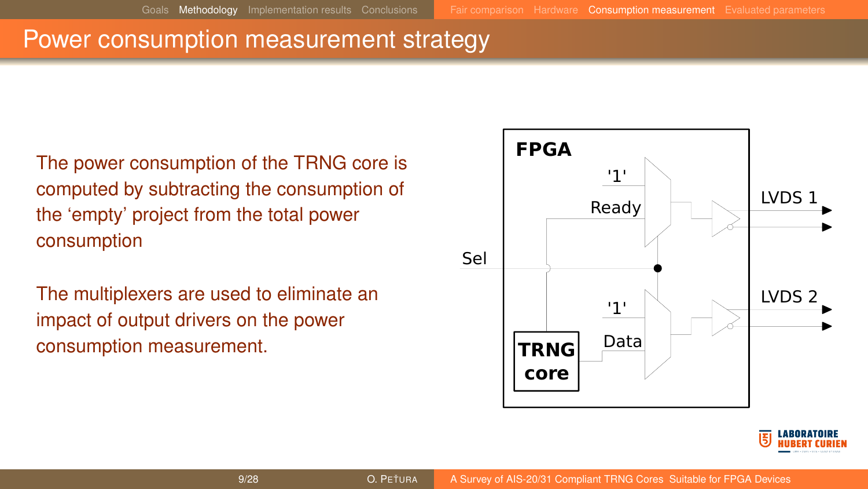### Power consumption measurement strategy

The power consumption of the TRNG core is computed by subtracting the consumption of the 'empty' project from the total power consumption

The multiplexers are used to eliminate an impact of output drivers on the power consumption measurement.



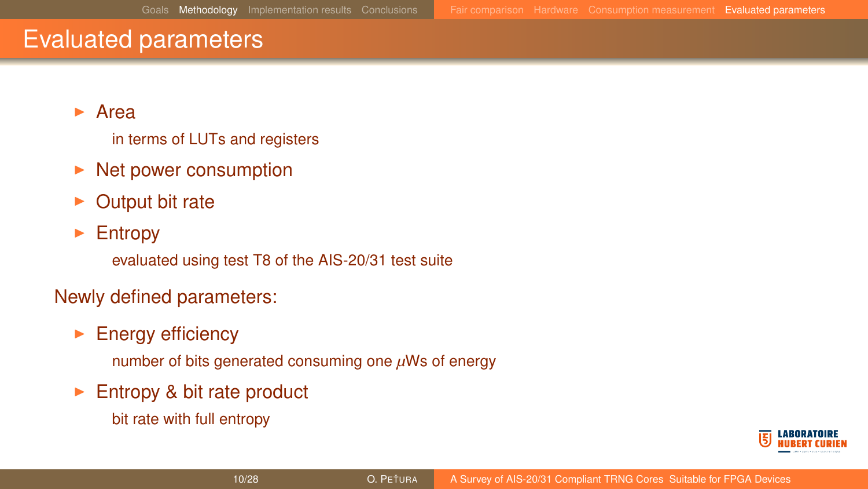### <span id="page-9-0"></span>Evaluated parameters

### $\blacktriangleright$  Area

in terms of LUTs and registers

- $\triangleright$  Net power consumption
- Output bit rate

### $\blacktriangleright$  Entropy

evaluated using test T8 of the AIS-20/31 test suite

### Newly defined parameters:

 $\blacktriangleright$  Energy efficiency

number of bits generated consuming one *µ*Ws of energy

- $\blacktriangleright$  Entropy & bit rate product
	- bit rate with full entropy

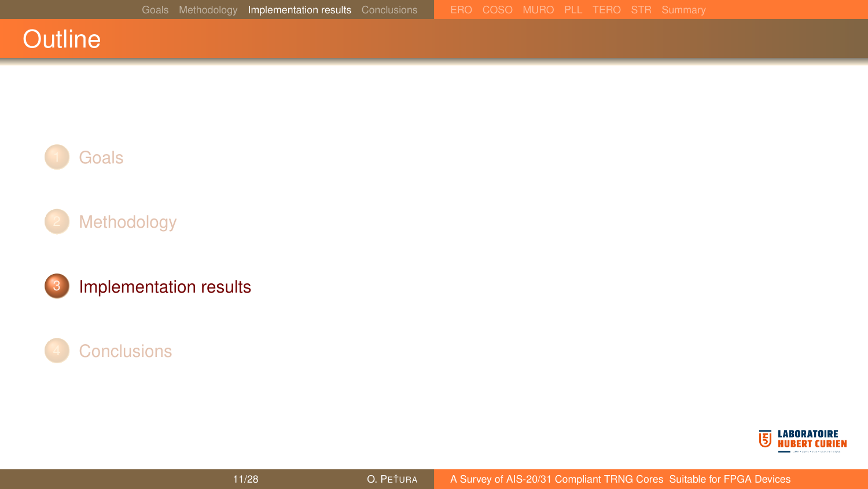### <span id="page-10-0"></span>**Outline**









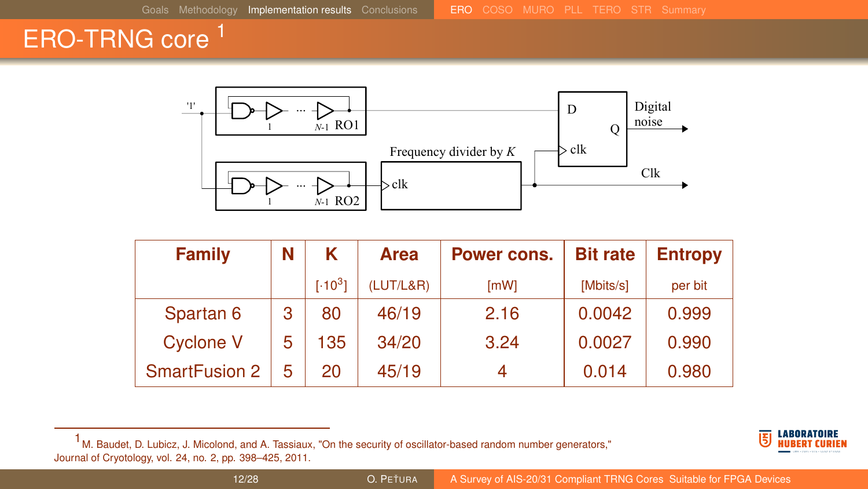### <span id="page-11-0"></span>ERO-TRNG core<sup>1</sup>



| <b>Family</b>        | Ν | κ           | <b>Area</b> | Power cons. |           | <b>Entropy</b> |
|----------------------|---|-------------|-------------|-------------|-----------|----------------|
|                      |   | $[.10^{3}]$ | (LUT/L&R)   | [mW]        | [Mbits/s] | per bit        |
| Spartan 6            | 3 | 80          | 46/19       | 2.16        | 0.0042    | 0.999          |
| <b>Cyclone V</b>     | 5 | 135         | 34/20       | 3.24        | 0.0027    | 0.990          |
| <b>SmartFusion 2</b> | 5 | 20          | 45/19       |             | 0.014     | 0.980          |



 $<sup>1</sup>$  M. Baudet, D. Lubicz, J. Micolond, and A. Tassiaux, "On the security of oscillator-based random number generators,"</sup> Journal of Cryotology, vol. 24, no. 2, pp. 398–425, 2011.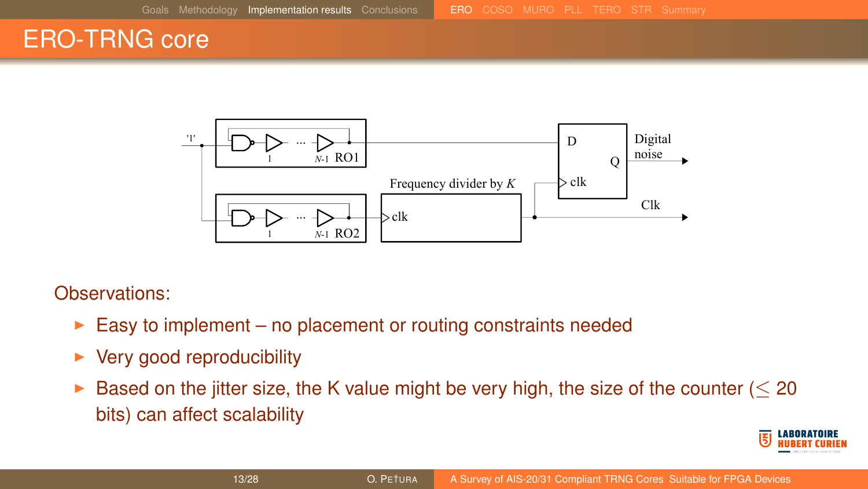### ERO-TRNG core



- $\triangleright$  Easy to implement no placement or routing constraints needed
- $\blacktriangleright$  Very good reproducibility
- ► Based on the jitter size, the K value might be very high, the size of the counter ( $\leq$  20 bits) can affect scalability

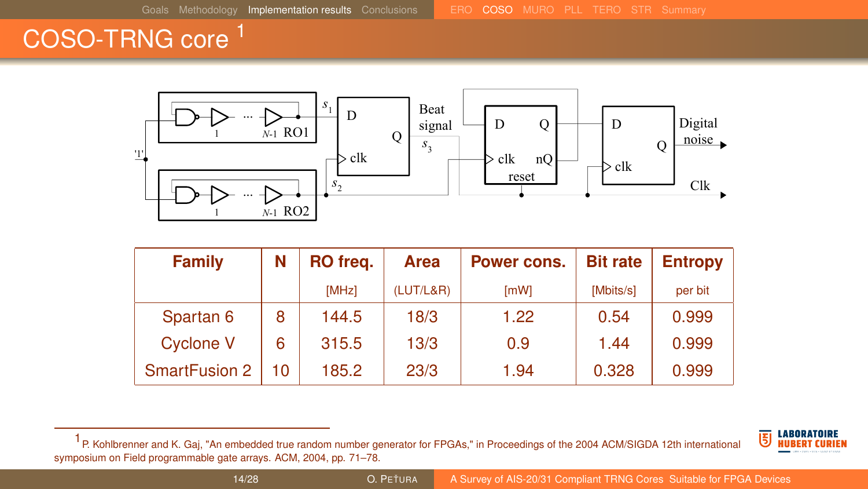## <span id="page-13-0"></span>COSO-TRNG core <sup>1</sup>



| Family               | N  | RO freq. | <b>Area</b> | Power cons. | <b>Bit rate</b> | <b>Entropy</b> |
|----------------------|----|----------|-------------|-------------|-----------------|----------------|
|                      |    | [MHz]    | (LUT/L&R)   | [mW]        | [Mbits/s]       | per bit        |
| Spartan 6            | 8  | 144.5    | 18/3        | 1.22        | 0.54            | 0.999          |
| Cyclone V            | 6  | 315.5    | 13/3        | 0.9         | 1.44            | 0.999          |
| <b>SmartFusion 2</b> | 10 | 185.2    | 23/3        | 1.94        | 0.328           | 0.999          |

<sup>1</sup> P. Kohlbrenner and K. Gaj, "An embedded true random number generator for FPGAs," in Proceedings of the 2004 ACM/SIGDA 12th international symposium on Field programmable gate arrays. ACM, 2004, pp. 71–78.

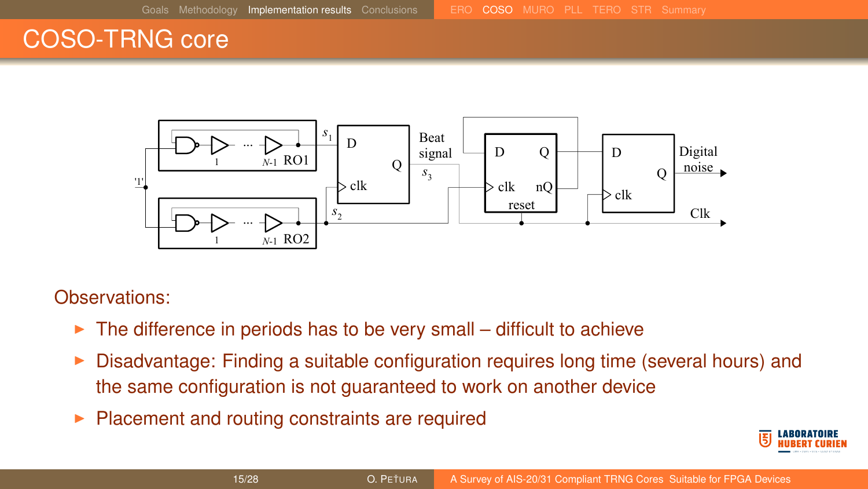### COSO-TRNG core



- $\triangleright$  The difference in periods has to be very small difficult to achieve
- $\triangleright$  Disadvantage: Finding a suitable configuration requires long time (several hours) and the same configuration is not guaranteed to work on another device
- $\blacktriangleright$  Placement and routing constraints are required

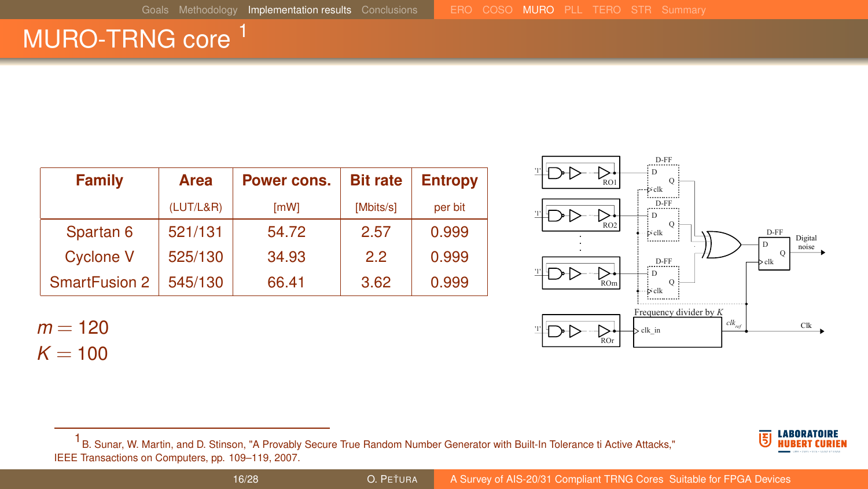## <span id="page-15-0"></span>MURO-TRNG core<sup>1</sup>

| Family               | Area      | Power cons. | <b>Bit rate</b> | <b>Entropy</b> |  |
|----------------------|-----------|-------------|-----------------|----------------|--|
|                      | (LUT/L&R) | [mW]        | [Mbits/s]       | per bit        |  |
| Spartan 6            | 521/131   | 54.72       | 2.57            | 0.999          |  |
| <b>Cyclone V</b>     | 525/130   | 34.93       | 2.2             | 0.999          |  |
| <b>SmartFusion 2</b> | 545/130   | 66.41       | 3.62            | 0.999          |  |

 $m = 120$  $K = 100$ 



D-FF

1 B. Sunar, W. Martin, and D. Stinson, "A Provably Secure True Random Number Generator with Built-In Tolerance ti Active Attacks," IEEE Transactions on Computers, pp. 109–119, 2007.



### 16/28 **O. PETURA [A Survey of AIS-20/31 Compliant TRNG Cores Suitable for FPGA Devices](#page-0-0)**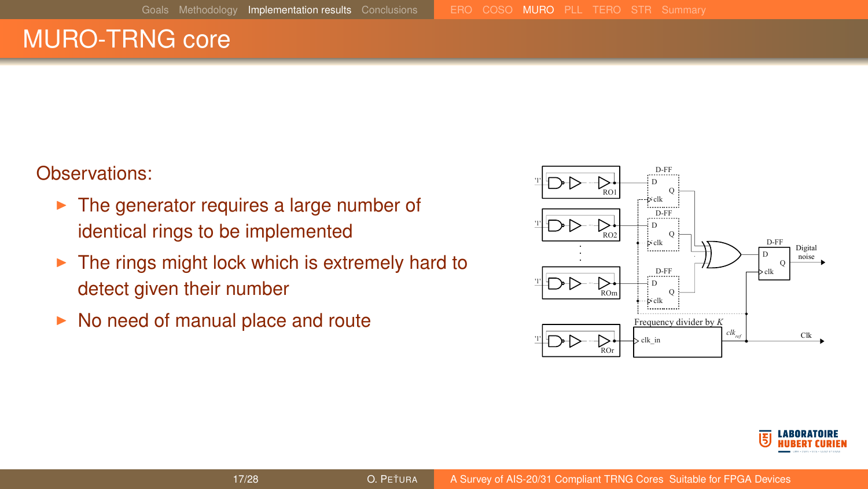### MURO-TRNG core

- $\blacktriangleright$  The generator requires a large number of identical rings to be implemented
- $\triangleright$  The rings might lock which is extremely hard to detect given their number
- $\triangleright$  No need of manual place and route



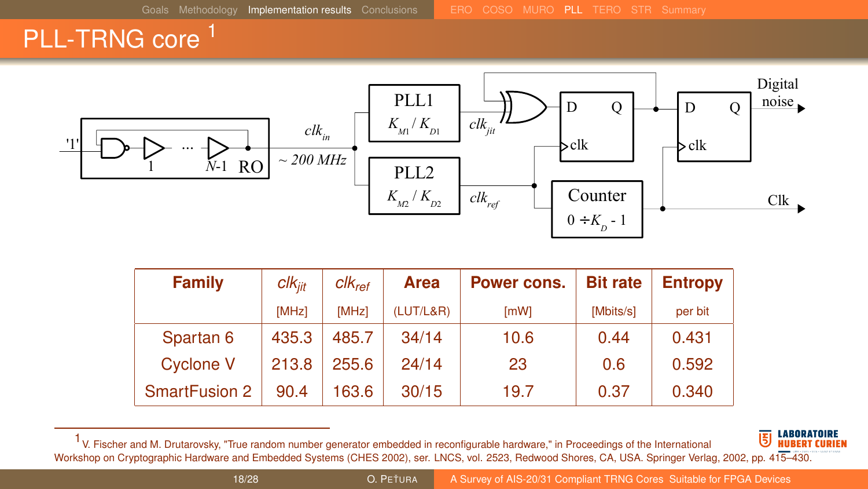### <span id="page-17-0"></span>PLL-TRNG core<sup>1</sup>



| Family               | $clk_{\mathit{iit}}$ | $Clk_{ref}$ | <b>Area</b> | Power cons. | <b>Bit rate</b> | <b>Entropy</b> |
|----------------------|----------------------|-------------|-------------|-------------|-----------------|----------------|
|                      | [MHz]                | [MHz]       | (LUT/L&R)   | [mW]        | [Mbits/s]       | per bit        |
| Spartan 6            | 435.3                | 485.7       | 34/14       | 10.6        | 0.44            | 0.431          |
| <b>Cyclone V</b>     | 213.8                | 255.6       | 24/14       | 23          | 0.6             | 0.592          |
| <b>SmartFusion 2</b> | 90.4                 | 163.6       | 30/15       | 19.7        | 0.37            | 0.340          |

1 V. Fischer and M. Drutarovsky, "True random number generator embedded in reconfigurable hardware," in Proceedings of the International Workshop on Cryptographic Hardware and Embedded Systems (CHES 2002), ser. LNCS, vol. 2523, Redwood Shores, CA, USA. Springer Verlag, 2002, pp. 415–430.

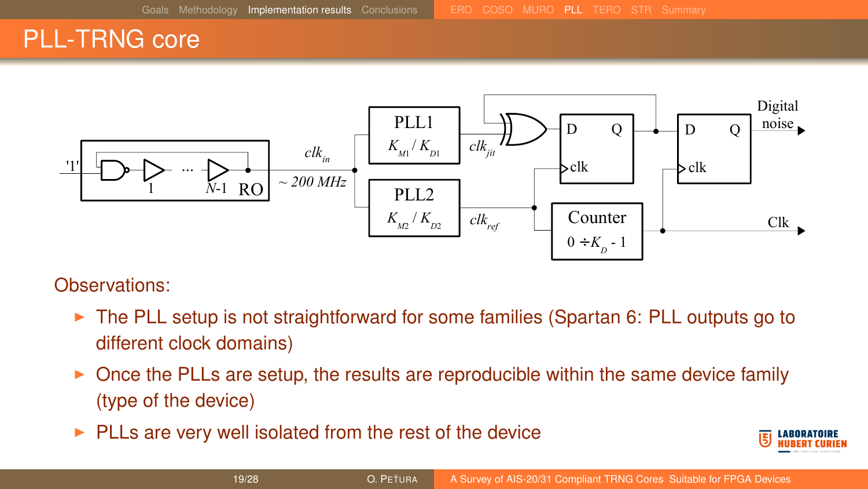### PLL-TRNG core



- $\triangleright$  The PLL setup is not straightforward for some families (Spartan 6: PLL outputs go to different clock domains)
- $\triangleright$  Once the PLLs are setup, the results are reproducible within the same device family (type of the device)
- $\blacktriangleright$  PLLs are very well isolated from the rest of the device

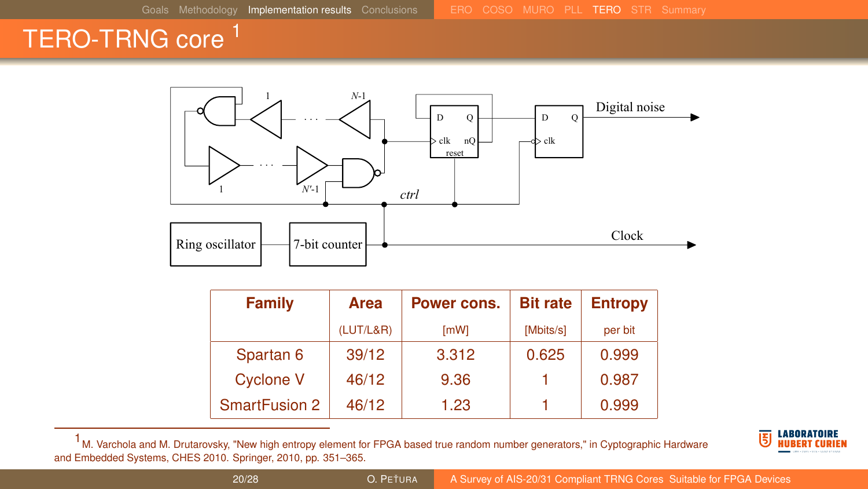# <span id="page-19-0"></span>TERO-TRNG core <sup>1</sup>



| Family               | Area      | Power cons. | <b>Bit rate</b> | <b>Entropy</b> |
|----------------------|-----------|-------------|-----------------|----------------|
|                      | (LUT/L&R) | [mW]        | [Mbits/s]       | per bit        |
| Spartan 6            | 39/12     | 3.312       | 0.625           | 0.999          |
| <b>Cyclone V</b>     | 46/12     | 9.36        |                 | 0.987          |
| <b>SmartFusion 2</b> | 46/12     | 1.23        |                 | 0.999          |

 $1$  M. Varchola and M. Drutarovsky, "New high entropy element for FPGA based true random number generators," in Cyptographic Hardware and Embedded Systems, CHES 2010. Springer, 2010, pp. 351–365.

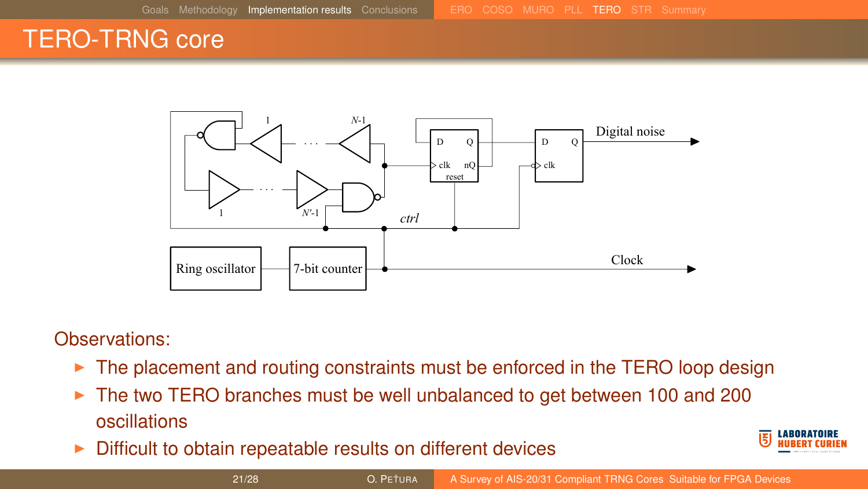### TERO-TRNG core



- $\triangleright$  The placement and routing constraints must be enforced in the TERO loop design
- $\triangleright$  The two TERO branches must be well unbalanced to get between 100 and 200 oscillations
- $\triangleright$  Difficult to obtain repeatable results on different devices

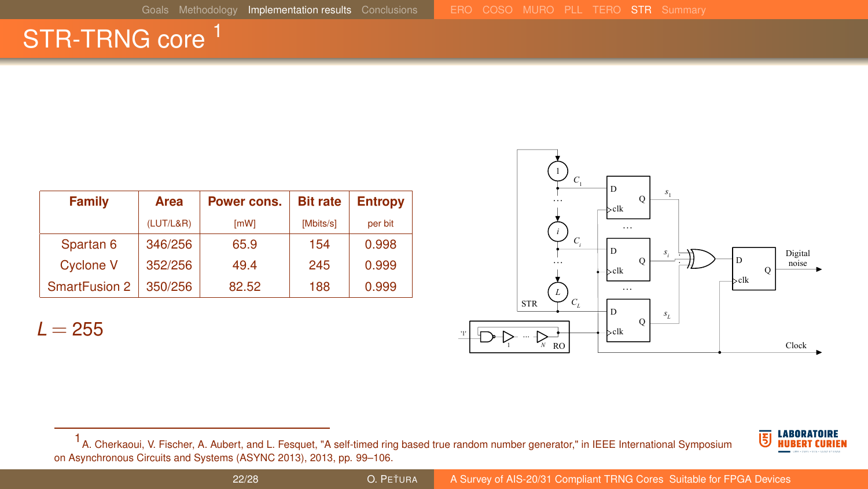## <span id="page-21-0"></span>STR-TRNG core<sup>1</sup>

| Family               | Area      | Power cons. | <b>Bit rate</b> | <b>Entropy</b> |  |
|----------------------|-----------|-------------|-----------------|----------------|--|
|                      | (LUT/L&R) | <b>ImWI</b> | [Mbits/s]       | per bit        |  |
| Spartan 6            | 346/256   | 65.9        | 154             | 0.998          |  |
| <b>Cyclone V</b>     | 352/256   | 49.4        | 245             | 0.999          |  |
| <b>SmartFusion 2</b> | 350/256   | 82.52       | 188             | 0.999          |  |

 $L = 255$ 





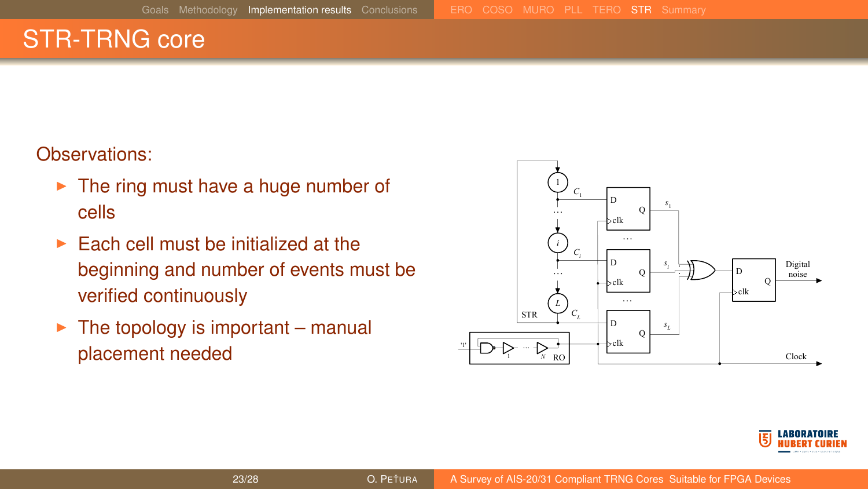### STR-TRNG core

- $\blacktriangleright$  The ring must have a huge number of cells
- $\blacktriangleright$  Each cell must be initialized at the beginning and number of events must be verified continuously
- $\blacktriangleright$  The topology is important manual placement needed



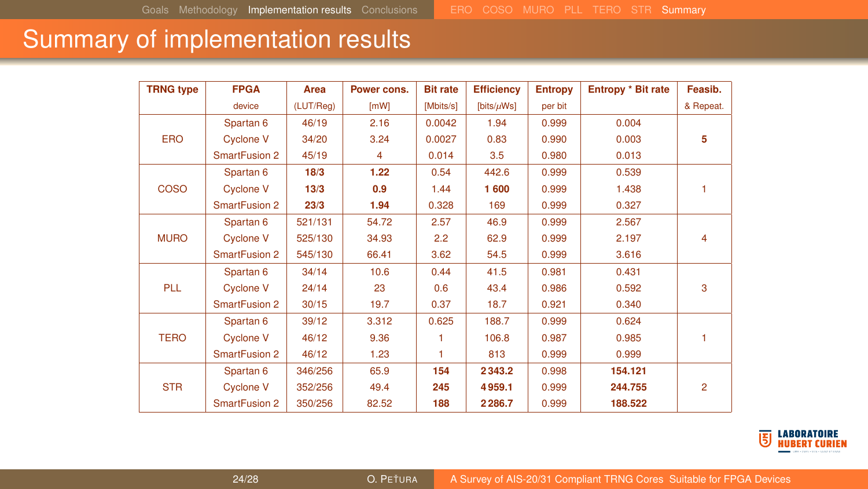### <span id="page-23-0"></span>Summary of implementation results

| <b>TRNG type</b> | <b>FPGA</b>          | Area      | Power cons. | <b>Bit rate</b> | <b>Efficiency</b> | <b>Entropy</b> | <b>Entropy * Bit rate</b> | Feasib.        |
|------------------|----------------------|-----------|-------------|-----------------|-------------------|----------------|---------------------------|----------------|
|                  | device               | (LUT/Reg) | [MW]        | [Mbits/s]       | [bits/ $\mu$ Ws]  | per bit        |                           | & Repeat.      |
|                  | Spartan <sub>6</sub> | 46/19     | 2.16        | 0.0042          | 1.94              | 0.999          | 0.004                     |                |
| ERO              | <b>Cyclone V</b>     | 34/20     | 3.24        | 0.0027          | 0.83              | 0.990          | 0.003                     | 5              |
|                  | <b>SmartFusion 2</b> | 45/19     | 4           | 0.014           | 3.5               | 0.980          | 0.013                     |                |
|                  | Spartan <sub>6</sub> | 18/3      | 1.22        | 0.54            | 442.6             | 0.999          | 0.539                     |                |
| <b>COSO</b>      | <b>Cyclone V</b>     | 13/3      | 0.9         | 1.44            | 1600              | 0.999          | 1.438                     | ۴              |
|                  | <b>SmartFusion 2</b> | 23/3      | 1.94        | 0.328           | 169               | 0.999          | 0.327                     |                |
|                  | Spartan <sub>6</sub> | 521/131   | 54.72       | 2.57            | 46.9              | 0.999          | 2.567                     |                |
| <b>MURO</b>      | <b>Cyclone V</b>     | 525/130   | 34.93       | 2.2             | 62.9              | 0.999          | 2.197                     | 4              |
|                  | <b>SmartFusion 2</b> | 545/130   | 66.41       | 3.62            | 54.5              | 0.999          | 3.616                     |                |
|                  | Spartan 6            | 34/14     | 10.6        | 0.44            | 41.5              | 0.981          | 0.431                     |                |
| PLL              | <b>Cyclone V</b>     | 24/14     | 23          | 0.6             | 43.4              | 0.986          | 0.592                     | 3              |
|                  | <b>SmartFusion 2</b> | 30/15     | 19.7        | 0.37            | 18.7              | 0.921          | 0.340                     |                |
|                  | Spartan <sub>6</sub> | 39/12     | 3.312       | 0.625           | 188.7             | 0.999          | 0.624                     |                |
| <b>TERO</b>      | <b>Cyclone V</b>     | 46/12     | 9.36        | 1               | 106.8             | 0.987          | 0.985                     |                |
|                  | <b>SmartFusion 2</b> | 46/12     | 1.23        | 1               | 813               | 0.999          | 0.999                     |                |
|                  | Spartan <sub>6</sub> | 346/256   | 65.9        | 154             | 2343.2            | 0.998          | 154.121                   |                |
| <b>STR</b>       | <b>Cyclone V</b>     | 352/256   | 49.4        | 245             | 4959.1            | 0.999          | 244.755                   | $\overline{2}$ |
|                  | <b>SmartFusion 2</b> | 350/256   | 82.52       | 188             | 2 2 8 6.7         | 0.999          | 188.522                   |                |

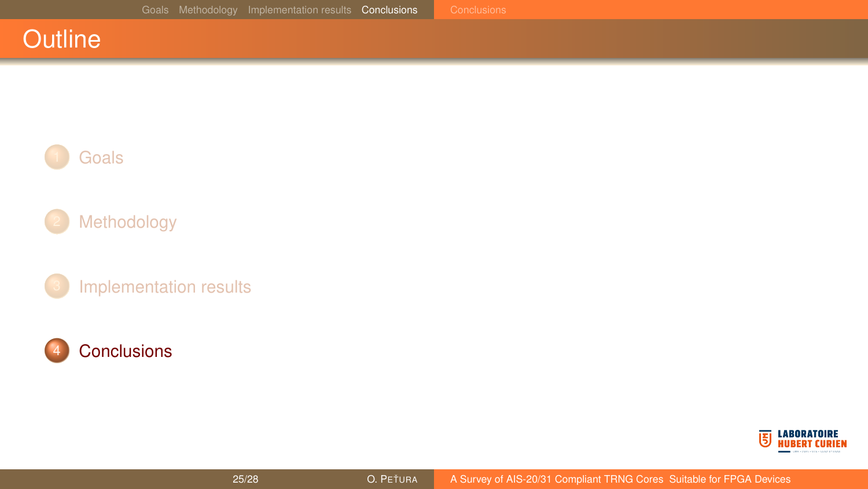### <span id="page-24-0"></span>**Outline**



### [Methodology](#page-4-0)

[Implementation results](#page-10-0)



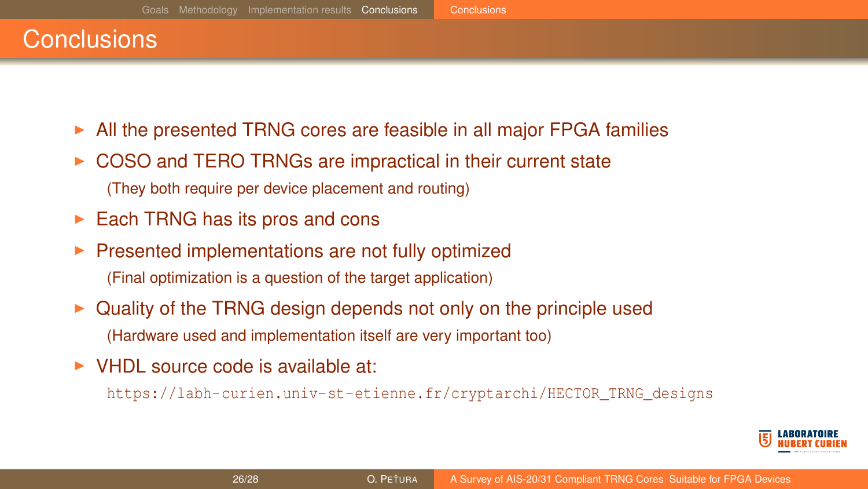### <span id="page-25-0"></span>**Conclusions**

- All the presented TRNG cores are feasible in all major FPGA families
- $\triangleright$  COSO and TERO TRNGs are impractical in their current state (They both require per device placement and routing)
- $\blacktriangleright$  Each TRNG has its pros and cons
- $\blacktriangleright$  Presented implementations are not fully optimized (Final optimization is a question of the target application)
- <sup>I</sup> Quality of the TRNG design depends not only on the principle used (Hardware used and implementation itself are very important too)
- $\triangleright$  VHDL source code is available at:

[https://labh-curien.univ-st-etienne.fr/cryptarchi/HECTOR\\_TRNG\\_designs](https://labh-curien.univ-st-etienne.fr/cryptarchi/HECTOR_TRNG_designs)

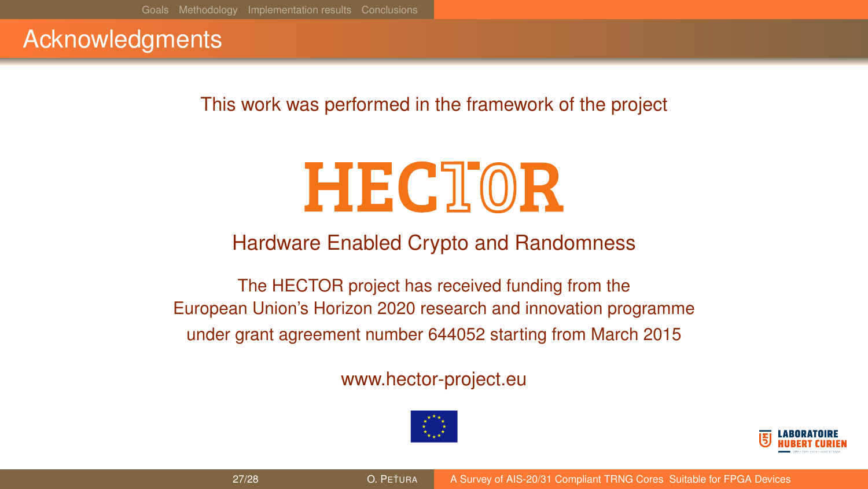### Acknowledgments

This work was performed in the framework of the project

# **HECTOR**

### Hardware Enabled Crypto and Randomness

The HECTOR project has received funding from the European Union's Horizon 2020 research and innovation programme under grant agreement number 644052 starting from March 2015

### www.hector-project.eu